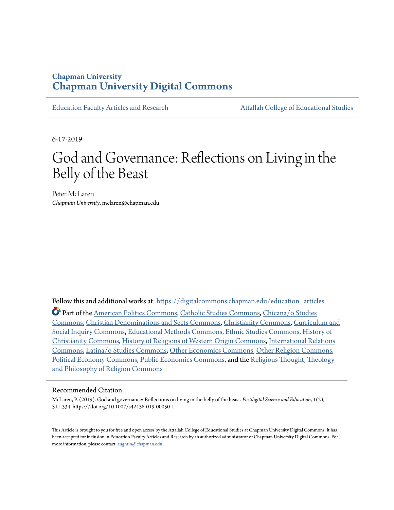### **Chapman University [Chapman University Digital Commons](https://digitalcommons.chapman.edu/?utm_source=digitalcommons.chapman.edu%2Feducation_articles%2F240&utm_medium=PDF&utm_campaign=PDFCoverPages)**

[Education Faculty Articles and Research](https://digitalcommons.chapman.edu/education_articles?utm_source=digitalcommons.chapman.edu%2Feducation_articles%2F240&utm_medium=PDF&utm_campaign=PDFCoverPages) [Attallah College of Educational Studies](https://digitalcommons.chapman.edu/ces?utm_source=digitalcommons.chapman.edu%2Feducation_articles%2F240&utm_medium=PDF&utm_campaign=PDFCoverPages)

6-17-2019

# God and Governance: Reflections on Living in the Belly of the Beast

Peter McLaren *Chapman University*, mclaren@chapman.edu

Follow this and additional works at: [https://digitalcommons.chapman.edu/education\\_articles](https://digitalcommons.chapman.edu/education_articles?utm_source=digitalcommons.chapman.edu%2Feducation_articles%2F240&utm_medium=PDF&utm_campaign=PDFCoverPages)

Part of the [American Politics Commons](http://network.bepress.com/hgg/discipline/387?utm_source=digitalcommons.chapman.edu%2Feducation_articles%2F240&utm_medium=PDF&utm_campaign=PDFCoverPages), [Catholic Studies Commons,](http://network.bepress.com/hgg/discipline/1294?utm_source=digitalcommons.chapman.edu%2Feducation_articles%2F240&utm_medium=PDF&utm_campaign=PDFCoverPages) [Chicana/o Studies](http://network.bepress.com/hgg/discipline/569?utm_source=digitalcommons.chapman.edu%2Feducation_articles%2F240&utm_medium=PDF&utm_campaign=PDFCoverPages) [Commons,](http://network.bepress.com/hgg/discipline/569?utm_source=digitalcommons.chapman.edu%2Feducation_articles%2F240&utm_medium=PDF&utm_campaign=PDFCoverPages) [Christian Denominations and Sects Commons](http://network.bepress.com/hgg/discipline/1184?utm_source=digitalcommons.chapman.edu%2Feducation_articles%2F240&utm_medium=PDF&utm_campaign=PDFCoverPages), [Christianity Commons,](http://network.bepress.com/hgg/discipline/1181?utm_source=digitalcommons.chapman.edu%2Feducation_articles%2F240&utm_medium=PDF&utm_campaign=PDFCoverPages) [Curriculum and](http://network.bepress.com/hgg/discipline/1038?utm_source=digitalcommons.chapman.edu%2Feducation_articles%2F240&utm_medium=PDF&utm_campaign=PDFCoverPages) [Social Inquiry Commons](http://network.bepress.com/hgg/discipline/1038?utm_source=digitalcommons.chapman.edu%2Feducation_articles%2F240&utm_medium=PDF&utm_campaign=PDFCoverPages), [Educational Methods Commons,](http://network.bepress.com/hgg/discipline/1227?utm_source=digitalcommons.chapman.edu%2Feducation_articles%2F240&utm_medium=PDF&utm_campaign=PDFCoverPages) [Ethnic Studies Commons](http://network.bepress.com/hgg/discipline/570?utm_source=digitalcommons.chapman.edu%2Feducation_articles%2F240&utm_medium=PDF&utm_campaign=PDFCoverPages), [History of](http://network.bepress.com/hgg/discipline/1182?utm_source=digitalcommons.chapman.edu%2Feducation_articles%2F240&utm_medium=PDF&utm_campaign=PDFCoverPages) [Christianity Commons](http://network.bepress.com/hgg/discipline/1182?utm_source=digitalcommons.chapman.edu%2Feducation_articles%2F240&utm_medium=PDF&utm_campaign=PDFCoverPages), [History of Religions of Western Origin Commons](http://network.bepress.com/hgg/discipline/542?utm_source=digitalcommons.chapman.edu%2Feducation_articles%2F240&utm_medium=PDF&utm_campaign=PDFCoverPages), [International Relations](http://network.bepress.com/hgg/discipline/389?utm_source=digitalcommons.chapman.edu%2Feducation_articles%2F240&utm_medium=PDF&utm_campaign=PDFCoverPages) [Commons,](http://network.bepress.com/hgg/discipline/389?utm_source=digitalcommons.chapman.edu%2Feducation_articles%2F240&utm_medium=PDF&utm_campaign=PDFCoverPages) [Latina/o Studies Commons](http://network.bepress.com/hgg/discipline/1315?utm_source=digitalcommons.chapman.edu%2Feducation_articles%2F240&utm_medium=PDF&utm_campaign=PDFCoverPages), [Other Economics Commons,](http://network.bepress.com/hgg/discipline/353?utm_source=digitalcommons.chapman.edu%2Feducation_articles%2F240&utm_medium=PDF&utm_campaign=PDFCoverPages) [Other Religion Commons](http://network.bepress.com/hgg/discipline/545?utm_source=digitalcommons.chapman.edu%2Feducation_articles%2F240&utm_medium=PDF&utm_campaign=PDFCoverPages), [Political Economy Commons](http://network.bepress.com/hgg/discipline/352?utm_source=digitalcommons.chapman.edu%2Feducation_articles%2F240&utm_medium=PDF&utm_campaign=PDFCoverPages), [Public Economics Commons](http://network.bepress.com/hgg/discipline/351?utm_source=digitalcommons.chapman.edu%2Feducation_articles%2F240&utm_medium=PDF&utm_campaign=PDFCoverPages), and the [Religious Thought, Theology](http://network.bepress.com/hgg/discipline/544?utm_source=digitalcommons.chapman.edu%2Feducation_articles%2F240&utm_medium=PDF&utm_campaign=PDFCoverPages) [and Philosophy of Religion Commons](http://network.bepress.com/hgg/discipline/544?utm_source=digitalcommons.chapman.edu%2Feducation_articles%2F240&utm_medium=PDF&utm_campaign=PDFCoverPages)

#### Recommended Citation

McLaren, P. (2019). God and governance: Reflections on living in the belly of the beast. *Postdigital Science and Education, 1*(2), 311-334. https://doi.org/10.1007/s42438-019-00050-1.

This Article is brought to you for free and open access by the Attallah College of Educational Studies at Chapman University Digital Commons. It has been accepted for inclusion in Education Faculty Articles and Research by an authorized administrator of Chapman University Digital Commons. For more information, please contact  $\text{la }\mathbf{u}$  and  $\mathbf{u}$  and  $\mathbf{u}$  and  $\mathbf{u}$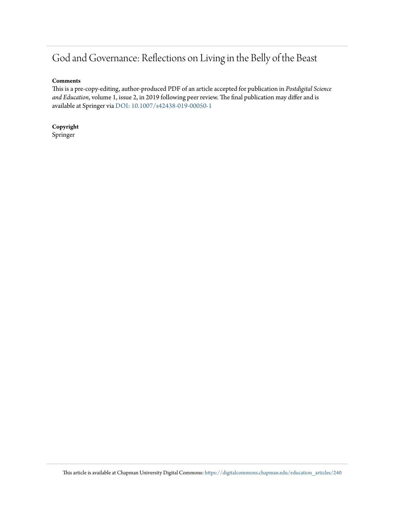## God and Governance: Reflections on Living in the Belly of the Beast

#### **Comments**

This is a pre-copy-editing, author-produced PDF of an article accepted for publication in *Postdigital Science and Education*, volume 1, issue 2, in 2019 following peer review. The final publication may differ and is available at Springer via [DOI: 10.1007/s42438-019-00050-1](https://doi.org/10.1007/s42438-019-00050-1)

**Copyright** Springer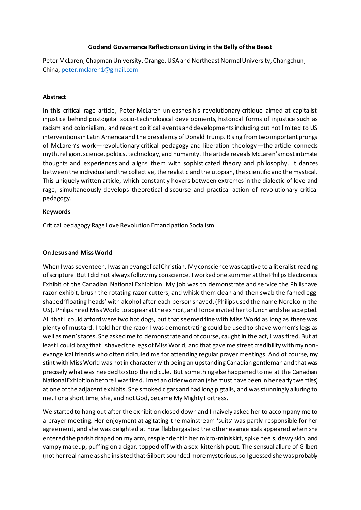#### **God and Governance Reflections on Living in the Belly of the Beast**

Peter McLaren, Chapman University, Orange, USA and Northeast Normal University, Changchun, China, [peter.mclaren1@gmail.com](mailto:peter.mclaren1@gmail.com)

#### **Abstract**

In this critical rage article, Peter McLaren unleashes his revolutionary critique aimed at capitalist injustice behind postdigital socio-technological developments, historical forms of injustice such as racism and colonialism, and recent political events and developments including but not limited to US interventions in Latin America and the presidency of Donald Trump. Rising from two important prongs of McLaren's work—revolutionary critical pedagogy and liberation theology—the article connects myth, religion, science, politics, technology, and humanity. The article reveals McLaren's most intimate thoughts and experiences and aligns them with sophisticated theory and philosophy. It dances between the individual and the collective, the realistic and the utopian, the scientific and the mystical. This uniquely written article, which constantly hovers between extremes in the dialectic of love and rage, simultaneously develops theoretical discourse and practical action of revolutionary critical pedagogy.

#### **Keywords**

Critical pedagogy Rage Love Revolution Emancipation Socialism

#### **On Jesus and Miss World**

When I was seventeen, I was an evangelical Christian. My conscience was captive to a literalist reading of scripture. But I did not always follow my conscience. I worked one summer at the Philips Electronics Exhibit of the Canadian National Exhibition. My job was to demonstrate and service the Philishave razor exhibit, brush the rotating razor cutters, and whisk them clean and then swab the famed eggshaped 'floating heads' with alcohol after each person shaved. (Philips used the name Norelco in the US). Philips hired Miss World to appear at the exhibit, and I once invited her to lunch and she accepted. All that I could afford were two hot dogs, but that seemed fine with Miss World as long as there was plenty of mustard. I told her the razor I was demonstrating could be used to shave women's legs as well as men's faces. She asked me to demonstrate and of course, caught in the act, I was fired. But at least I could brag that I shaved the legs of Miss World, and that gave me street credibility with my nonevangelical friends who often ridiculed me for attending regular prayer meetings. And of course, my stint with Miss World was not in character with being an upstanding Canadian gentleman and that was precisely what was needed to stop the ridicule. But something else happened to me at the Canadian National Exhibition before I was fired. I met an older woman (she must have been in her early twenties) at one of the adjacent exhibits. She smoked cigars and had long pigtails, and was stunningly alluring to me. For a short time, she, and not God, became My Mighty Fortress.

We started to hang out after the exhibition closed down and I naively asked her to accompany me to a prayer meeting. Her enjoyment at agitating the mainstream 'suits' was partly responsible for her agreement, and she was delighted at how flabbergasted the other evangelicals appeared when she entered the parish draped on my arm, resplendent in her micro-miniskirt, spike heels, dewy skin, and vampy makeup, puffing on a cigar, topped off with a sex-kittenish pout. The sensual allure of Gilbert (not her real name as she insisted that Gilbert sounded more mysterious, so I guessed she was probably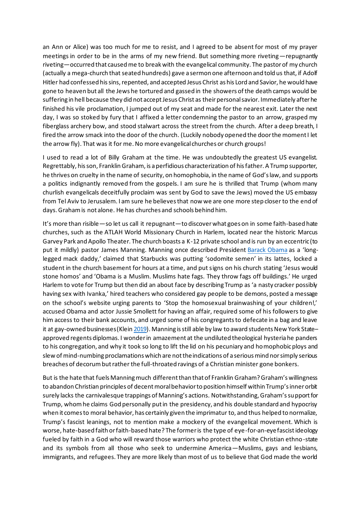an Ann or Alice) was too much for me to resist, and I agreed to be absent for most of my prayer meetings in order to be in the arms of my new friend. But something more riveting—repugnantly riveting—occurred that caused me to break with the evangelical community. The pastor of my church (actually a mega-church that seated hundreds) gave a sermon one afternoon and told us that, if Adolf Hitler had confessed his sins, repented, and accepted Jesus Christ as his Lord and Savior, he would have gone to heaven but all the Jews he tortured and gassed in the showers of the death camps would be suffering in hell because they did not accept Jesus Christ as their personal savior. Immediately after he finished his vile proclamation, I jumped out of my seat and made for the nearest exit. Later the next day, I was so stoked by fury that I affixed a letter condemning the pastor to an arrow, grasped my fiberglass archery bow, and stood stalwart across the street from the church. After a deep breath, I fired the arrow smack into the door of the church. (Luckily nobody opened the door the moment I let the arrow fly). That was it for me. No more evangelical churches or church groups!

I used to read a lot of Billy Graham at the time. He was undoubtedly the greatest US evangelist. Regrettably, his son, Franklin Graham, is a perfidious characterization of his father. A Trump supporter, he thrives on cruelty in the name of security, on homophobia, in the name of God's law, and supports a politics indignantly removed from the gospels. I am sure he is thrilled that Trump (whom many churlish evangelicals deceitfully proclaim was sent by God to save the Jews) moved the US embassy from Tel Aviv to Jerusalem. I am sure he believes that now we are one more step closer to the end of days. Graham is not alone. He has churches and schools behind him.

It's more than risible—so let us call it repugnant—to discover what goes on in some faith-based hate churches, such as the ATLAH World Missionary Church in Harlem, located near the historic Marcus Garvey Park and Apollo Theater. The church boasts a K-12 private school and is run by an eccentric (to put it mildly) pastor James Manning. Manning once described President [Barack Obama](https://www.huffpost.com/news/topic/barack-obama) as a 'longlegged mack daddy,' claimed that Starbucks was putting 'sodomite semen' in its lattes, locked a student in the church basement for hours at a time, and put signs on his church stating 'Jesus would stone homos' and 'Obama is a Muslim. Muslims hate fags. They throw fags off buildings.' He urged Harlem to vote for Trump but then did an about face by describing Trump as 'a nasty cracker possibly having sex with Ivanka,' hired teachers who considered gay people to be demons, posted a message on the school's website urging parents to 'Stop the homosexual brainwashing of your children!,' accused Obama and actor Jussie Smollett for having an affair, required some of his followers to give him access to their bank accounts, and urged some of his congregants to defecate in a bag and leave it at gay-owned businesses (Klein [2019\)](https://link.springer.com/article/10.1007/s42438-019-00050-1#CR13). Manning is still able by law to award students New York State– approved regents diplomas. I wonder in amazement at the undiluted theological hysteria he panders to his congregation, and why it took so long to lift the lid on his pecuniary and homophobic ploys and slew of mind-numbing proclamations which are not the indications of a serious mind nor simply serious breaches of decorum but rather the full-throated ravings of a Christian minister gone bonkers.

But is the hate that fuels Manning much different than that of Franklin Graham? Graham's willingness to abandon Christian principles of decent moral behavior to position himself within Trump's inner orbit surely lacks the carnivalesque trappings of Manning's actions. Notwithstanding, Graham's support for Trump, whom he claims God personally put in the presidency, and his double standard and hypocrisy when it comes to moral behavior, has certainly given the imprimatur to, and thus helped to normalize, Trump's fascist leanings, not to mention make a mockery of the evangelical movement. Which is worse, hate-based faith or faith-based hate? The former is the type of eye-for-an-eye fascist ideology fueled by faith in a God who will reward those warriors who protect the white Christian ethno-state and its symbols from all those who seek to undermine America—Muslims, gays and lesbians, immigrants, and refugees. They are more likely than most of us to believe that God made the world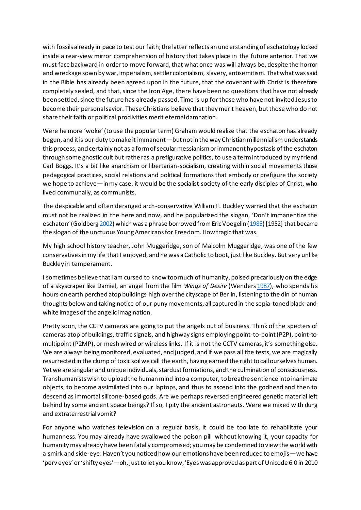with fossils already in pace to test our faith; the latter reflects an understanding of eschatology locked inside a rear-view mirror comprehension of history that takes place in the future anterior. That we must face backward in order to move forward, that what once was will always be, despite the horror and wreckage sown by war, imperialism, settler colonialism, slavery, antisemitism. That what was said in the Bible has already been agreed upon in the future, that the covenant with Christ is therefore completely sealed, and that, since the Iron Age, there have been no questions that have not already been settled, since the future has already passed. Time is up for those who have not invited Jesus to become their personal savior. These Christians believe that they merit heaven, but those who do not share their faith or political proclivities merit eternal damnation.

Were he more 'woke' (to use the popular term) Graham would realize that the eschaton has already begun, and it is our duty to make it immanent—but not in the way Christian millennialism understands this process, and certainly not as a form of secular messianism or immanent hypostasis of the eschaton through some gnostic cult but rather as a prefigurative politics, to use a term introduced by my friend Carl Boggs. It's a bit like anarchism or libertarian-socialism, creating within social movements those pedagogical practices, social relations and political formations that embody or prefigure the society we hope to achieve—in my case, it would be the socialist society of the early disciples of Christ, who lived communally, as communists.

The despicable and often deranged arch-conservative William F. Buckley warned that the eschaton must not be realized in the here and now, and he popularized the slogan, 'Don't immanentize the eschaton' (Goldberg [2002\)](https://link.springer.com/article/10.1007/s42438-019-00050-1#CR8) which was a phrase borrowed from Eric Voegelin [\(1985\)](https://link.springer.com/article/10.1007/s42438-019-00050-1#CR29) [1952] that became the slogan of the unctuous Young Americans for Freedom. How tragic that was.

My high school history teacher, John Muggeridge, son of Malcolm Muggeridge, was one of the few conservatives in my life that I enjoyed, and he was a Catholic to boot, just like Buckley. But very unlike Buckley in temperament.

I sometimes believe that I am cursed to know too much of humanity, poised precariously on the edge of a skyscraper like Damiel, an angel from the film *Wings of Desire* (Wenders [1987\)](https://link.springer.com/article/10.1007/s42438-019-00050-1#CR30), who spends his hours on earth perched atop buildings high over the cityscape of Berlin, listening to the din of human thoughts below and taking notice of our puny movements, all captured in the sepia-toned black-andwhite images of the angelic imagination.

Pretty soon, the CCTV cameras are going to put the angels out of business. Think of the specters of cameras atop of buildings, traffic signals, and highway signs employing point-to-point (P2P), point-tomultipoint (P2MP), or mesh wired or wireless links. If it is not the CCTV cameras, it's something else. We are always being monitored, evaluated, and judged, and if we pass all the tests, we are magically resurrected in the clump of toxic soil we call the earth, having earned the right to call ourselves human. Yet we are singular and unique individuals, stardust formations, and the culmination of consciousness. Transhumanists wish to upload the human mind into a computer, to breathe sentience into inanimate objects, to become assimilated into our laptops, and thus to ascend into the godhead and then to descend as immortal silicone-based gods. Are we perhaps reversed engineered genetic material left behind by some ancient space beings? If so, I pity the ancient astronauts. Were we mixed with dung and extraterrestrial vomit?

For anyone who watches television on a regular basis, it could be too late to rehabilitate your humanness. You may already have swallowed the poison pill without knowing it, your capacity for humanity may already have been fatally compromised; you may be condemned to view the world with a smirk and side-eye. Haven't you noticed how our emotions have been reduced to emojis—we have 'perv eyes' or 'shifty eyes'—oh, just to let you know, 'Eyes was approved as part of Unicode 6.0 in 2010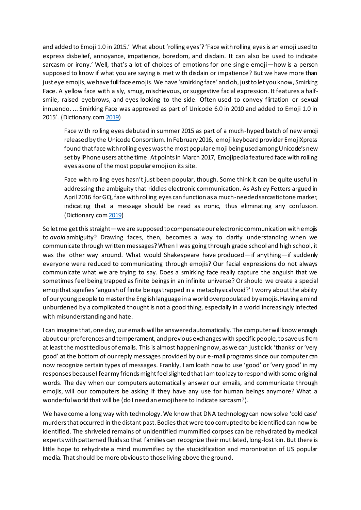and added to Emoji 1.0 in 2015.' What about 'rolling eyes'? 'Face with rolling eyes is an emoji used to express disbelief, annoyance, impatience, boredom, and disdain. It can also be used to indicate sarcasm or irony.' Well, that's a lot of choices of emotions for one single emoji—how is a person supposed to know if what you are saying is met with disdain or impatience? But we have more than just eye emojis, we have full face emojis. We have 'smirking face' and oh, just to let you know, Smirking Face. A yellow face with a sly, smug, mischievous, or suggestive facial expression. It features a halfsmile, raised eyebrows, and eyes looking to the side. Often used to convey flirtation or sexual innuendo. ... Smirking Face was approved as part of Unicode 6.0 in 2010 and added to Emoji 1.0 in 2015'. (Dictionary.com [2019\)](https://link.springer.com/article/10.1007/s42438-019-00050-1#CR4)

Face with rolling eyes debuted in summer 2015 as part of a much-hyped batch of new emoji released by the Unicode Consortium. In February 2016, emoji keyboard provider EmojiXpress found that face with rolling eyes was the most popular emoji being used among Unicode's new set by iPhone users at the time. At points in March 2017, Emojipedia featured face with rolling eyes as one of the most popular emoji on its site.

Face with rolling eyes hasn't just been popular, though. Some think it can be quite useful in addressing the ambiguity that riddles electronic communication. As Ashley Fetters argued in April 2016 for GQ, face with rolling eyes can function as a much-needed sarcastic tone marker, indicating that a message should be read as ironic, thus eliminating any confusion. (Dictionary.com[2019\)](https://link.springer.com/article/10.1007/s42438-019-00050-1#CR4)

So let me get this straight—we are supposed to compensate our electronic communication with emojis to *avoid* ambiguity? Drawing faces, then, becomes a way to clarify understanding when we communicate through written messages? When I was going through grade school and high school, it was the other way around. What would Shakespeare have produced—if anything—if suddenly everyone were reduced to communicating through emojis? Our facial expressions do not always communicate what we are trying to say. Does a smirking face really capture the anguish that we sometimes feel being trapped as finite beings in an infinite universe? Or should we create a special emoji that signifies 'anguish of finite beings trapped in a metaphysical void?' I worry about the ability of our young people to master the English language in a world overpopulated by emojis. Having a mind unburdened by a complicated thought is not a good thing, especially in a world increasingly infected with misunderstanding and hate.

I can imagine that, one day, our emails will be answered automatically. The computer will know enough about our preferences and temperament, and previous exchanges with specific people, to save us from at least the most tedious of emails. This is almost happening now, as we can just click 'thanks' or 'very good' at the bottom of our reply messages provided by our e-mail programs since our computer can now recognize certain types of messages. Frankly, I am loath now to use 'good' or 'very good' in my responses because I fear my friends might feel slighted that I am too lazy to respond with some original words. The day when our computers automatically answer our emails, and communicate through emojis, will our computers be asking if they have any use for human beings anymore? What a wonderful world that will be (do I need an emoji here to indicate sarcasm?).

We have come a long way with technology. We know that DNA technology can now solve 'cold case' murders that occurred in the distant past. Bodies that were too corrupted to be identified can now be identified. The shriveled remains of unidentified mummified corpses can be rehydrated by medical experts with patterned fluids so that families can recognize their mutilated, long-lost kin. But there is little hope to rehydrate a mind mummified by the stupidification and moronization of US popular media. That should be more obvious to those living above the ground.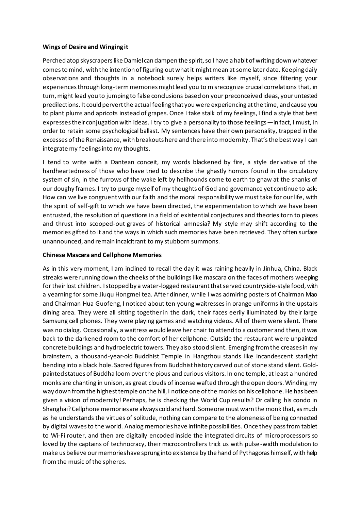#### **Wings of Desire and Winging it**

Perched atop skyscrapers like Damiel can dampen the spirit, so I have a habit of writing down whatever comes to mind, with the intention of figuring out what it might mean at some later date. Keeping daily observations and thoughts in a notebook surely helps writers like myself, since filtering your experiences through long-term memories might lead you to misrecognize crucial correlations that, in turn, might lead you to jumping to false conclusions based on your preconceived ideas, your untested predilections. It could pervert the actual feeling that you were experiencing at the time, and cause you to plant plums and apricots instead of grapes. Once I take stalk of my feelings, I find a style that best expresses their conjugation with ideas. I try to give a personality to those feelings—in fact, I must, in order to retain some psychological ballast. My sentences have their own personality, trapped in the excesses of the Renaissance, with breakouts here and there into modernity. That's the best way I can integrate my feelings into my thoughts.

I tend to write with a Dantean conceit, my words blackened by fire, a style derivative of the hardheartedness of those who have tried to describe the ghastly horrors found in the circulatory system of sin, in the furrows of the wake left by hellhounds come to earth to gnaw at the shanks of our doughy frames. I try to purge myself of my thoughts of God and governance yet continue to ask: How can we live congruent with our faith and the moral responsibility we must take for our life, with the spirit of self-gift to which we have been directed, the experimentation to which we have been entrusted, the resolution of questions in a field of existential conjectures and theories torn to pieces and thrust into scooped-out graves of historical amnesia? My style may shift according to the memories gifted to it and the ways in which such memories have been retrieved. They often surface unannounced, and remain incalcitrant to my stubborn summons.

#### **Chinese Mascara and Cellphone Memories**

As in this very moment, I am inclined to recall the day it was raining heavily in Jinhua, China. Black streaks were running down the cheeks of the buildings like mascara on the faces of mothers weeping for their lost children. I stopped by a water-logged restaurant that served countryside-style food, with a yearning for some Jiuqu Hongmei tea. After dinner, while I was admiring posters of Chairman Mao and Chairman Hua Guofeng, I noticed about ten young waitresses in orange uniforms in the upstairs dining area. They were all sitting together in the dark, their faces eerily illuminated by their large Samsung cell phones. They were playing games and watching videos. All of them were silent. There was no dialog. Occasionally, a waitress would leave her chair to attend to a customer and then, it was back to the darkened room to the comfort of her cellphone. Outside the restaurant were unpainted concrete buildings and hydroelectric towers. They also stood silent. Emerging from the creases in my brainstem, a thousand-year-old Buddhist Temple in Hangzhou stands like incandescent starlight bending into a black hole. Sacred figures from Buddhist history carved out of stone stand silent. Goldpainted statues of Buddha loom over the pious and curious visitors. In one temple, at least a hundred monks are chanting in unison, as great clouds of incense wafted through the open doors. Winding my way down from the highest temple on the hill, I notice one of the monks on his cellphone. He has been given a vision of modernity! Perhaps, he is checking the World Cup results? Or calling his condo in Shanghai? Cellphone memories are always cold and hard. Someone must warn the monk that, as much as he understands the virtues of solitude, nothing can compare to the aloneness of being connected by digital waves to the world. Analog memories have infinite possibilities. Once they pass from tablet to Wi-Fi router, and then are digitally encoded inside the integrated circuits of microprocessors so loved by the captains of technocracy, their microcontrollers trick us with pulse-width modulation to make us believe our memories have sprung into existence by the hand of Pythagoras himself, with help from the music of the spheres.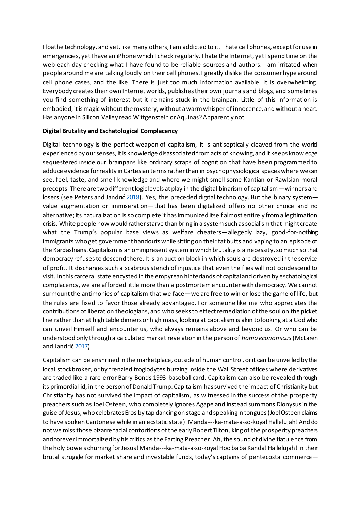I loathe technology, and yet, like many others, I am addicted to it. I hate cell phones, except for use in emergencies, yet I have an iPhone which I check regularly. I hate the Internet, yet I spend time on the web each day checking what I have found to be reliable sources and authors. I am irritated when people around me are talking loudly on their cell phones. I greatly dislike the consumer hype around cell phone cases, and the like. There is just too much information available. It is overwhelming. Everybody creates their own Internet worlds, publishes their own journals and blogs, and sometimes you find something of interest but it remains stuck in the brainpan. Little of this information is embodied, it is magic without the mystery, without a warm whisper of innocence, and without a heart. Has anyone in Silicon Valley read Wittgenstein or Aquinas? Apparently not.

#### **Digital Brutality and Eschatological Complacency**

Digital technology is the perfect weapon of capitalism, it is antiseptically cleaved from the world experienced by our senses, it is knowledge disassociated from acts of knowing, and it keeps knowledge sequestered inside our brainpans like ordinary scraps of cognition that have been programmed to adduce evidence for reality in Cartesian terms rather than in psychophysiological spaces where we can see, feel, taste, and smell knowledge and where we might smell some Kantian or Rawlsian moral precepts. There are two different logic levels at play in the digital binarism of capitalism—winners and losers (see Peters and Jandrić [2018\)](https://link.springer.com/article/10.1007/s42438-019-00050-1#CR21). Yes, this preceded digital technology. But the binary system value augmentation or immiseration—that has been digitalized offers no other choice and no alternative; its naturalization is so complete it has immunized itself almost entirely from a legitimation crisis. White people now would rather starve than bring in a system such as socialism that might create what the Trump's popular base views as welfare cheaters—allegedly lazy, good-for-nothing immigrants who get government handouts while sitting on their fat butts and vaping to an episode of the Kardashians. Capitalism is an omnipresent system in which brutality is a necessity, so much so that democracy refuses to descend there. It is an auction block in which souls are destroyed in the service of profit. It discharges such a scabrous stench of injustice that even the flies will not condescend to visit. In this carceral state encysted in the empyrean hinterlands of capital and driven by eschatological complacency, we are afforded little more than a postmortem encounter with democracy. We cannot surmount the antimonies of capitalism that we face—we are free to win or lose the game of life, but the rules are fixed to favor those already advantaged. For someone like me who appreciates the contributions of liberation theologians, and who seeks to effect remediation of the soul on the picket line rather than at high table dinners or high mass, looking at capitalism is akin to looking at a God who can unveil Himself and encounter us, who always remains above and beyond us. Or who can be understood only through a calculated market revelation in the person of *homo economicus*(McLaren and Jandrić [2017\).](https://link.springer.com/article/10.1007/s42438-019-00050-1#CR15)

Capitalism can be enshrined in the marketplace, outside of human control, or it can be unveiled by the local stockbroker, or by frenzied troglodytes buzzing inside the Wall Street offices where derivatives are traded like a rare error Barry Bonds 1993 baseball card. Capitalism can also be revealed through its primordial id, in the person of Donald Trump. Capitalism has survived the impact of Christianity but Christianity has not survived the impact of capitalism, as witnessed in the success of the prosperity preachers such as Joel Osteen, who completely ignores Agape and instead summons Dionysus in the guise of Jesus, who celebrates Eros by tap dancing on stage and speaking in tongues (Joel Osteen claims to have spoken Cantonese while in an ecstatic state). Manda---ka-mata-a-so-koya! Hallelujah! And do not we miss those bizarre facial contortions of the early Robert Tilton, king of the prosperity preachers and forever immortalized by his critics as the Farting Preacher! Ah, the sound of divine flatulence from the holy bowels churning for Jesus! Manda---ka-mata-a-so-koya! Hoo ba ba Kanda! Hallelujah! In their brutal struggle for market share and investable funds, today's captains of pentecostal commerce —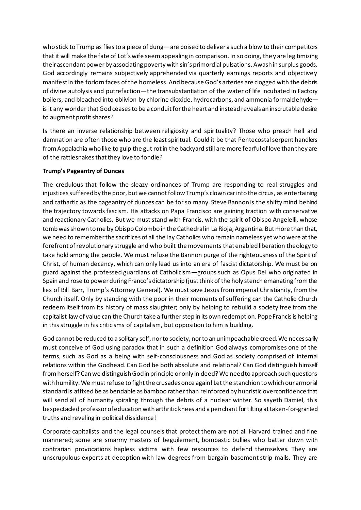who stick to Trump as flies to a piece of dung—are poised to deliver a such a blow to their competitors that it will make the fate of Lot's wife seem appealing in comparison. In so doing, they are legitimizing their ascendant power by associating poverty with sin's primordial pulsations. Awash in surplus goods, God accordingly remains subjectively apprehended via quarterly earnings reports and objectively manifest in the forlorn faces of the homeless. And because God's arteries are clogged with the debris of divine autolysis and putrefaction—the transubstantiation of the water of life incubated in Factory boilers, and bleached into oblivion by chlorine dioxide, hydrocarbons, and ammonia formaldehyde is it any wonder that God ceases to be a conduit for the heart and instead reveals an inscrutable desire to augment profit shares?

Is there an inverse relationship between religiosity and spirituality? Those who preach hell and damnation are often those who are the least spiritual. Could it be that Pentecostal serpent handlers from Appalachia who like to gulp the gut rot in the backyard still are more fearful of love than they are of the rattlesnakes that they love to fondle?

#### **Trump's Pageantry of Dunces**

The credulous that follow the sleazy ordinances of Trump are responding to real struggles and injustices suffered by the poor, but we cannot follow Trump's clown car into the circus, as entertaining and cathartic as the pageantry of dunces can be for so many. Steve Bannon is the shifty mind behind the trajectory towards fascism. His attacks on Papa Francisco are gaining traction with conservative and reactionary Catholics. But we must stand with Francis, with the spirit of Obispo Angelelli, whose tomb was shown to me by Obispo Colombo in the Cathedral in La Rioja, Argentina. But more than that, we need to remember the sacrifices of all the lay Catholics who remain nameless yet who were at the forefront of revolutionary struggle and who built the movements that enabled liberation theology to take hold among the people. We must refuse the Bannon purge of the righteousness of the Spirit of Christ, of human decency, which can only lead us into an era of fascist dictatorship. We must be on guard against the professed guardians of Catholicism—groups such as Opus Dei who originated in Spain and rose to power during Franco's dictatorship (just think of the holy stench emanating from the lies of Bill Barr, Trump's Attorney General). We must save Jesus from imperial Christianity, from the Church itself. Only by standing with the poor in their moments of suffering can the Catholic Church redeem itself from its history of mass slaughter; only by helping to rebuild a society free from the capitalist law of value can the Church take a further step in its own redemption. Pope Francis is helping in this struggle in his criticisms of capitalism, but opposition to him is building.

God cannot be reduced to a solitary self, nor to society, nor to an unimpeachable creed. We necessarily must conceive of God using paradox that in such a definition God always compromises one of the terms, such as God as a being with self-consciousness and God as society comprised of internal relations within the Godhead. Can God be both absolute and relational? Can God distinguish himself from herself? Can we distinguish God in principle or only in deed? We need to approach such questions with humility. We must refuse to fight the crusades once again! Let the stanchion to which our armorial standard is affixed be as bendable as bamboo rather than reinforced by hubristic overconfidence that will send all of humanity spiraling through the debris of a nuclear winter. So sayeth Damiel, this bespectacled professor of education with arthritic knees and a penchant for tilting at taken-for-granted truths and reveling in political dissidence!

Corporate capitalists and the legal counsels that protect them are not all Harvard trained and fine mannered; some are smarmy masters of beguilement, bombastic bullies who batter down with contrarian provocations hapless victims with few resources to defend themselves. They are unscrupulous experts at deception with law degrees from bargain basement strip malls. They are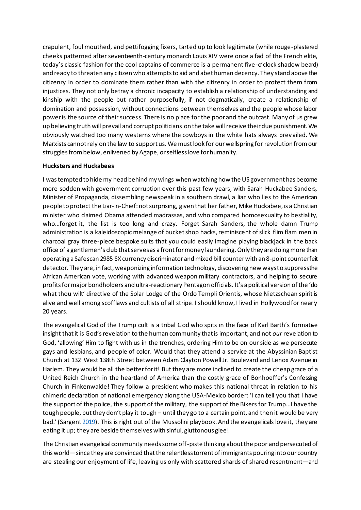crapulent, foul mouthed, and pettifogging fixers, tarted up to look legitimate (while rouge-plastered cheeks patterned after seventeenth-century monarch Louis XIV were once a fad of the French elite, today's classic fashion for the cool captains of commerce is a permanent five-o'clock shadow beard) and ready to threaten any citizen who attempts to aid and abet human decency. They stand above the citizenry in order to dominate them rather than with the citizenry in order to protect them from injustices. They not only betray a chronic incapacity to establish a relationship of understanding and kinship with the people but rather purposefully, if not dogmatically, create a relationship of domination and possession, without connections between themselves and the people whose labor power is the source of their success. There is no place for the poor and the outcast. Many of us grew up believing truth will prevail and corrupt politicians on the take will receive their due punishment. We obviously watched too many westerns where the cowboys in the white hats always prevailed. We Marxists cannot rely on the law to support us. We must look for our wellspring for revolution from our struggles from below, enlivened by Agape, or selfless love for humanity.

#### **Hucksters and Huckabees**

I was tempted to hide my head behind my wings when watching how the US government has become more sodden with government corruption over this past few years, with Sarah Huckabee Sanders, Minister of Propaganda, dissembling newspeak in a southern drawl, a liar who lies to the American people to protect the Liar-in-Chief: not surprising, given that her father, Mike Huckabee, is a Christian minister who claimed Obama attended madrassas, and who compared homosexuality to bestiality, who…forget it, the list is too long and crazy. Forget Sarah Sanders, the whole damn Trump administration is a kaleidoscopic melange of bucket shop hacks, reminiscent of slick flim flam men in charcoal gray three-piece bespoke suits that you could easily imagine playing blackjack in the back office of a gentlemen's club that serves as a front for money laundering. Only they are doing more than operating a Safescan 2985 SX currency discriminator and mixed bill counter with an 8-point counterfeit detector. They are, in fact, weaponizing information technology, discovering new ways to suppress the African American vote, working with advanced weapon military contractors, and helping to secure profits for major bondholders and ultra-reactionary Pentagon officials. It's a political version of the 'do what thou wilt' directive of the Solar Lodge of the Ordo Templi Orientis, whose Nietzschean spirit is alive and well among scofflaws and cultists of all stripe. I should know, I lived in Hollywood for nearly 20 years.

The evangelical God of the Trump cult is a tribal God who spits in the face of Karl Barth's formative insight that it is God's revelation to the human community that is important, and not *our* revelation to God, 'allowing' Him to fight with us in the trenches, ordering Him to be on our side as we persecute gays and lesbians, and people of color. Would that they attend a service at the Abyssinian Baptist Church at 132 West 138th Street between Adam Clayton Powell Jr. Boulevard and Lenox Avenue in Harlem. They would be all the better for it! But they are more inclined to create the cheap grace of a United Reich Church in the heartland of America than the costly grace of Bonhoeffer's Confessing Church in Finkenwalde! They follow a president who makes this national threat in relation to his chimeric declaration of national emergency along the USA-Mexico border: 'I can tell you that I have the support of the police, the support of the military, the support of the Bikers for Trump…I have the tough people, but they don't play it tough – until they go to a certain point, and then it would be very bad.' (Sargent [2019\)](https://link.springer.com/article/10.1007/s42438-019-00050-1#CR24). This is right out of the Mussolini playbook. And the evangelicals love it, they are eating it up; they are beside themselves with sinful, gluttonous glee!

The Christian evangelical community needs some off-piste thinking about the poor and persecuted of this world—since they are convinced that the relentless torrent of immigrants pouring into our country are stealing our enjoyment of life, leaving us only with scattered shards of shared resentment—and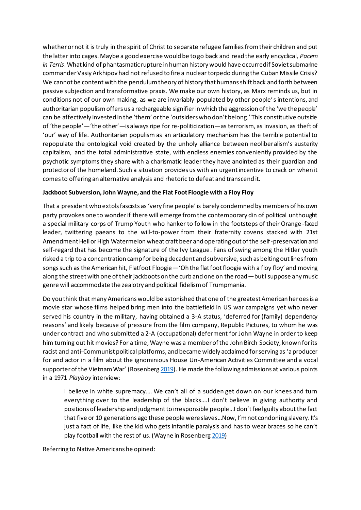whether or not it is truly in the spirit of Christ to separate refugee families from their children and put the latter into cages. Maybe a good exercise would be to go back and read the early encyclical, *Pacem in Terris*. What kind of phantasmatic rupture in human history would have occurred if Soviet submarine commander Vasiy Arkhipov had not refused to fire a nuclear torpedo during the Cuban Missile Crisis? We cannot be content with the pendulum theory of history that humans shift back and forth between passive subjection and transformative praxis. We make our own history, as Marx reminds us, but in conditions not of our own making, as we are invariably populated by other people's intentions, and authoritarian populism offers us a rechargeable signifier in which the aggression of the 'we the people' can be affectively invested in the 'them' or the 'outsiders who don't belong.' This constitutive outside of 'the people'—'the other'—is always ripe for re-politicization—as terrorism, as invasion, as theft of 'our' way of life. Authoritarian populism as an articulatory mechanism has the terrible potential to repopulate the ontological void created by the unholy alliance between neoliberalism's austerity capitalism, and the total administrative state, with endless enemies conveniently provided by the psychotic symptoms they share with a charismatic leader they have anointed as their guardian and protector of the homeland. Such a situation provides us with an urgent incentive to crack on when it comes to offering an alternative analysis and rhetoric to defeat and transcend it.

#### **Jackboot Subversion, John Wayne, and the Flat Foot Floogie with a Floy Floy**

That a president who extols fascists as'very fine people' is barely condemned by members of his own party provokes one to wonder if there will emerge from the contemporary din of political unthought a special military corps of Trump Youth who hanker to follow in the footsteps of their Orange -faced leader, twittering paeans to the will-to-power from their fraternity covens stacked with 21st Amendment Hell or High Watermelon wheat craft beer and operating out of the self-preservation and self-regard that has become the signature of the Ivy League. Fans of swing among the Hitler youth risked a trip to a concentration camp for being decadent and subversive, such as belting out lines from songs such as the American hit, Flatfoot Floogie—'Oh the flat foot floogie with a floy floy' and moving along the street with one of their jackboots on the curb and one on the road—but I suppose any music genre will accommodate the zealotry and political fidelism of Trumpmania.

Do you think that many Americans would be astonished that one of the greatest American heroes is a movie star whose films helped bring men into the battlefield in US war campaigns yet who never served his country in the military, having obtained a 3-A status, 'deferred for (family) dependency reasons' and likely because of pressure from the film company, Republic Pictures, to whom he was under contract and who submitted a 2-A (occupational) deferment for John Wayne in order to keep him turning out hit movies? For a time, Wayne was a member of the John Birch Society, known for its racist and anti-Communist political platforms, and became widely acclaimed for serving as 'a producer for and actor in a film about the ignominious House Un-American Activities Committee and a vocal supporter of the Vietnam War' (Rosenberg [2019\)](https://link.springer.com/article/10.1007/s42438-019-00050-1#CR23). He made the following admissions at various points in a 1971 *Playboy* interview:

I believe in white supremacy…. We can't all of a sudden get down on our knees and turn everything over to the leadership of the blacks….I don't believe in giving authority and positions of leadership and judgment to irresponsible people…I don't feel guilty about the fact that five or 10 generations ago these people were slaves…Now, I'm not condoning slavery. It's just a fact of life, like the kid who gets infantile paralysis and has to wear braces so he can't play football with the rest of us. (Wayne in Rosenberg [2019\)](https://link.springer.com/article/10.1007/s42438-019-00050-1#CR23)

Referring to Native Americans he opined: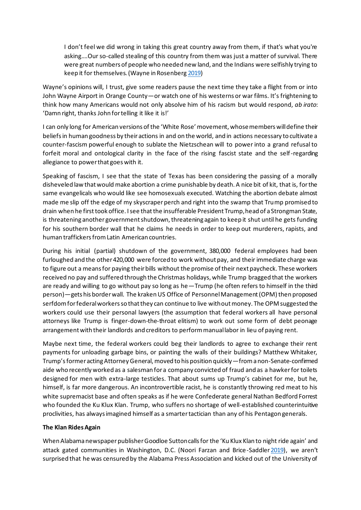I don't feel we did wrong in taking this great country away from them, if that's what you're asking….Our so-called stealing of this country from them was just a matter of survival. There were great numbers of people who needed new land, and the Indians were selfishly trying to keep it for themselves. (Wayne in Rosenberg [2019\)](https://link.springer.com/article/10.1007/s42438-019-00050-1#CR23)

Wayne's opinions will, I trust, give some readers pause the next time they take a flight from or into John Wayne Airport in Orange County—or watch one of his westerns or war films. It's frightening to think how many Americans would not only absolve him of his racism but would respond, *ab irato*: 'Damn right, thanks John for telling it like it is!'

I can only long for American versions of the 'White Rose' movement, whose members will define their beliefs in human goodness by their actions in and on the world, and in actions necessary to cultivate a counter-fascism powerful enough to sublate the Nietzschean will to power into a grand refusal to forfeit moral and ontological clarity in the face of the rising fascist state and the self-regarding allegiance to power that goes with it.

Speaking of fascism, I see that the state of Texas has been considering the passing of a morally disheveled law that would make abortion a crime punishable by death. A nice bit of kit, that is, for the same evangelicals who would like see homosexuals executed. Watching the abortion debate almost made me slip off the edge of my skyscraper perch and right into the swamp that Trump promised to drain when he first took office. I see that the insufferable President Trump, head of a Strongman State, is threatening another government shutdown, threatening again to keep it shut until he gets funding for his southern border wall that he claims he needs in order to keep out murderers, rapists, and human traffickers from Latin American countries.

During his initial (partial) shutdown of the government, 380,000 federal employees had been furloughed and the other 420,000 were forced to work without pay, and their immediate charge was to figure out a means for paying their bills without the promise of their next paycheck. These workers received no pay and suffered through the Christmas holidays, while Trump bragged that the workers are ready and willing to go without pay so long as he—Trump (he often refers to himself in the third person)—gets his border wall. The kraken US Office of Personnel Management (OPM) then proposed serfdom for federal workers so that they can continue to live without money. The OPM suggested the workers could use their personal lawyers (the assumption that federal workers all have personal attorneys like Trump is finger-down-the-throat elitism) to work out some form of debt peonage arrangement with their landlords and creditors to perform manual labor in lieu of paying rent.

Maybe next time, the federal workers could beg their landlords to agree to exchange their rent payments for unloading garbage bins, or painting the walls of their buildings? Matthew Whitaker, Trump's former acting Attorney General, moved to his position quickly—from a non-Senate-confirmed aide who recently worked as a salesman for a company convicted of fraud and as a hawker for toilets designed for men with extra-large testicles. That about sums up Trump's cabinet for me, but he, himself, is far more dangerous. An incontrovertible racist, he is constantly throwing red meat to his white supremacist base and often speaks as if he were Confederate general Nathan Bedford Forrest who founded the Ku Klux Klan. Trump, who suffers no shortage of well-established counterintuitive proclivities, has always imagined himself as a smarter tactician than any of his Pentagon generals.

#### **The Klan Rides Again**

When Alabama newspaper publisher Goodloe Sutton calls for the 'Ku Klux Klan to night ride again' and attack gated communities in Washington, D.C. (Noori Farzan and Brice-Saddle[r2019](https://link.springer.com/article/10.1007/s42438-019-00050-1#CR19)), we aren't surprised that he was censured by the Alabama Press Association and kicked out of the University of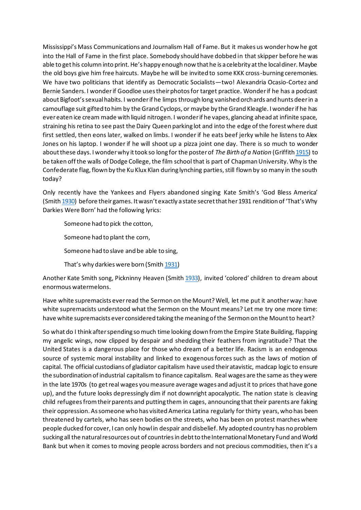Mississippi's Mass Communications and Journalism Hall of Fame. But it makes us wonder how he got into the Hall of Fame in the first place. Somebody should have dobbed in that skipper before he was able to get his column into print. He's happy enough now that he is a celebrity at the local diner. Maybe the old boys give him free haircuts. Maybe he will be invited to some KKK cross-burning ceremonies. We have two politicians that identify as Democratic Socialists—two! Alexandria Ocasio-Cortez and Bernie Sanders. I wonder if Goodloe uses their photos for target practice. Wonder if he has a podcast about Bigfoot's sexual habits. I wonder if he limps through long vanished orchards and hunts deer in a camouflage suit gifted to him by the Grand Cyclops, or maybe by the Grand Kleagle. I wonder if he has ever eaten ice cream made with liquid nitrogen. I wonder if he vapes, glancing ahead at infinite space, straining his retina to see past the Dairy Queen parking lot and into the edge of the forest where dust first settled, then eons later, walked on limbs. I wonder if he eats beef jerky while he listens to Alex Jones on his laptop. I wonder if he will shoot up a pizza joint one day. There is so much to wonder about these days. I wonder why it took so long for the poster of *The Birth of a Nation* (Griffith [1915\)](https://link.springer.com/article/10.1007/s42438-019-00050-1#CR9) to be taken off the walls of Dodge College, the film school that is part of Chapman University. Why is the Confederate flag, flown by the Ku Klux Klan during lynching parties, still flown by so many in the south today?

Only recently have the Yankees and Flyers abandoned singing Kate Smith's 'God Bless America' (Smith [1930](https://link.springer.com/article/10.1007/s42438-019-00050-1#CR25)) before their games. It wasn't exactly a state secret that her 1931 rendition of 'That's Why Darkies Were Born' had the following lyrics:

Someone had to pick the cotton,

Someone had to plant the corn,

Someone had to slave and be able to sing,

That's why darkies were born (Smith [1931\)](https://link.springer.com/article/10.1007/s42438-019-00050-1#CR26)

Another Kate Smith song, Pickninny Heaven (Smith [1933](https://link.springer.com/article/10.1007/s42438-019-00050-1#CR27)), invited 'colored' children to dream about enormous watermelons.

Have white supremacists ever read the Sermon on the Mount? Well, let me put it another way: have white supremacists understood what the Sermon on the Mount means? Let me try one more time: have white supremacists ever considered taking the meaning of the Sermon on the Mount to heart?

So what do I think after spending so much time looking down from the Empire State Building, flapping my angelic wings, now clipped by despair and shedding their feathers from ingratitude? That the United States is a dangerous place for those who dream of a better life. Racism is an endogenous source of systemic moral instability and linked to exogenous forces such as the laws of motion of capital. The official custodians of gladiator capitalism have used their atavistic, madcap logic to ensure the subordination of industrial capitalism to finance capitalism. Real wages are the same as they were in the late 1970s (to get real wages you measure average wages and adjust it to prices that have gone up), and the future looks depressingly dim if not downright apocalyptic. The nation state is cleaving child refugees from their parents and putting them in cages, announcing that their parents are faking their oppression. As someone who has visited America Latina regularly for thirty years, who has been threatened by cartels, who has seen bodies on the streets, who has been on protest marches where people ducked for cover, I can only howl in despair and disbelief. My adopted country has no problem sucking all the natural resources out of countries in debt to the International Monetary Fund and World Bank but when it comes to moving people across borders and not precious commodities, then it's a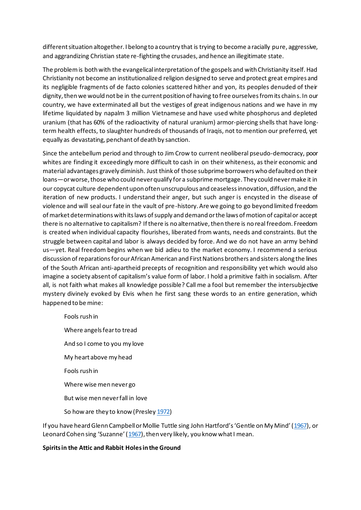different situation altogether. I belong to a country that is trying to become a racially pure, aggressive, and aggrandizing Christian state re-fighting the crusades, and hence an illegitimate state.

The problem is both with the evangelical interpretation of the gospels and with Christianity itself. Had Christianity not become an institutionalized religion designed to serve and protect great empires and its negligible fragments of de facto colonies scattered hither and yon, its peoples denuded of their dignity, then we would not be in the current position of having to free ourselves from its chains. In our country, we have exterminated all but the vestiges of great indigenous nations and we have in my lifetime liquidated by napalm 3 million Vietnamese and have used white phosphorus and depleted uranium (that has 60% of the radioactivity of natural uranium) armor-piercing shells that have longterm health effects, to slaughter hundreds of thousands of Iraqis, not to mention our preferred, yet equally as devastating, penchant of death by sanction.

Since the antebellum period and through to Jim Crow to current neoliberal pseudo-democracy, poor whites are finding it exceedingly more difficult to cash in on their whiteness, as their economic and material advantages gravely diminish. Just think of those subprime borrowers who defaulted on their loans—or worse, those who could never qualify for a subprime mortgage. They could never make it in our copycat culture dependent upon often unscrupulous and ceaseless innovation, diffusion, and the iteration of new products. I understand their anger, but such anger is encysted in the disease of violence and will seal our fate in the vault of pre-history. Are we going to go beyond limited freedom of market determinations with its laws of supply and demand or the laws of motion of capital or accept there is no alternative to capitalism? If there is no alternative, then there is no real freedom. Freedom is created when individual capacity flourishes, liberated from wants, needs and constraints. But the struggle between capital and labor is always decided by force. And we do not have an army behind us—yet. Real freedom begins when we bid adieu to the market economy. I recommend a serious discussion of reparations for our African American and First Nations brothers and sisters along the lines of the South African anti-apartheid precepts of recognition and responsibility yet which would also imagine a society absent of capitalism's value form of labor. I hold a primitive faith in socialism. After all, is not faith what makes all knowledge possible? Call me a fool but remember the intersubjective mystery divinely evoked by Elvis when he first sang these words to an entire generation, which happened to be mine:

Fools rush in Where angels fear to tread And so I come to you my love My heart above my head Fools rush in Where wise men never go But wise men never fall in love So how are they to know (Presley [1972\)](https://link.springer.com/article/10.1007/s42438-019-00050-1#CR22)

If you have heard Glenn Campbell or Mollie Tuttle sing John Hartford's 'Gentle on My Mind' ([1967\)](https://link.springer.com/article/10.1007/s42438-019-00050-1#CR10), or Leonard Cohen sing 'Suzanne' ([1967\)](https://link.springer.com/article/10.1007/s42438-019-00050-1#CR3), then very likely, you know what I mean.

#### **Spirits in the Attic and Rabbit Holes in the Ground**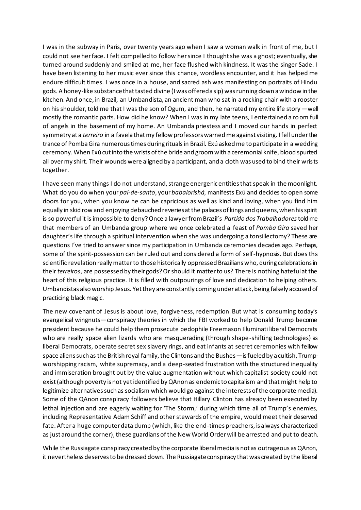I was in the subway in Paris, over twenty years ago when I saw a woman walk in front of me, but I could not see her face. I felt compelled to follow her since I thought she was a ghost; eventually, she turned around suddenly and smiled at me, her face flushed with kindness. It was the singer Sade. I have been listening to her music ever since this chance, wordless encounter, and it has helped me endure difficult times. I was once in a house, and sacred ash was manifesting on portraits of Hindu gods. A honey-like substance that tasted divine (I was offered a sip) was running down a window in the kitchen. And once, in Brazil, an Umbandista, an ancient man who sat in a rocking chair with a rooster on his shoulder, told me that I was the son of Ogum, and then, he narrated my entire life story—well mostly the romantic parts. How did he know? When I was in my late teens, I entertained a room full of angels in the basement of my home. An Umbanda priestess and I moved our hands in perfect symmetry at a *terreiro* in a favela that my fellow professors warned me against visiting. I fell under the trance of Pomba Gira numerous times during ritualsin Brazil. Exú asked me to participate in a wedding ceremony. When Exú cut into the wrists of the bride and groom with a ceremonial knife, blood spurted all over my shirt. Their wounds were aligned by a participant, and a cloth was used to bind their wrists together.

I have seen many things I do not understand, strange energenic entities that speak in the moonlight. What do you do when your *pai-de-santo*, your*babalorishá*, manifests Exú and decides to open some doors for you, when you know he can be capricious as well as kind and loving, when you find him equally in skid row and enjoying debauched reveries at the palaces of kings and queens, when his spirit is so powerful it is impossible to deny? Once a lawyer from Brazil's *Partido dos Trabalhadores*told me that members of an Umbanda group where we once celebrated a feast of *Pomba Gira* saved her daughter's life through a spiritual intervention when she was undergoing a tonsillectomy? These are questions I've tried to answer since my participation in Umbanda ceremonies decades ago. Perhaps, some of the spirit-possession can be ruled out and considered a form of self-hypnosis. But does this scientific revelation really matter to those historically oppressed Brazilians who, during celebrations in their *terreiros*, are possessed by their gods? Or should it matter to us? There is nothing hateful at the heart of this religious practice. It is filled with outpourings of love and dedication to helping others. Umbandistas also worship Jesus. Yet they are constantly coming under attack, being falsely accused of practicing black magic.

The new covenant of Jesus is about love, forgiveness, redemption. But what is consuming today's evangelical wingnuts—conspiracy theories in which the FBI worked to help Donald Trump become president because he could help them prosecute pedophile Freemason Illuminati liberal Democrats who are really space alien lizards who are masquerading (through shape-shifting technologies) as liberal Democrats, operate secret sex slavery rings, and eat infants at secret ceremonies with fellow space aliens such as the British royal family, the Clintons and the Bushes—is fueled by a cultish, Trumpworshipping racism, white supremacy, and a deep-seated frustration with the structured inequality and immiseration brought out by the value augmentation without which capitalist society could not exist (although poverty is not yet identified by QAnon as endemic to capitalism and that might help to legitimize alternatives such as socialism which would go against the interests of the corporate media). Some of the QAnon conspiracy followers believe that Hillary Clinton has already been executed by lethal injection and are eagerly waiting for 'The Storm,' during which time all of Trump's enemies, including Representative Adam Schiff and other stewards of the empire, would meet their deserved fate. After a huge computer data dump (which, like the end-times preachers, is always characterized as just around the corner), these guardians of the New World Order will be arrested and put to death.

While the Russiagate conspiracy created by the corporate liberal media is not as outrageous as QAnon, it nevertheless deserves to be dressed down. The Russiagate conspiracy that was created by the liberal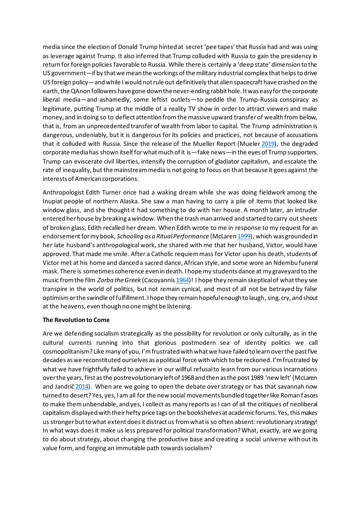media since the election of Donald Trump hinted at secret 'pee tapes' that Russia had and was using as leverage against Trump. It also inferred that Trump colluded with Russia to gain the presidency in return for foreign policies favorable to Russia. While there is certainly a 'deep state' dimension to the US government—if by that we mean the workings of the military industrial complex that helps to drive US foreign policy—and while I would not rule out definitively that alien spacecraft have crashed on the earth, the QAnon followers have gone down the never-ending rabbit hole. It was easy for the corporate liberal media—and ashamedly, some leftist outlets—to peddle the Trump-Russia conspiracy as legitimate, putting Trump at the middle of a reality TV show in order to attract viewers and make money, and in doing so to deflect attention from the massive upward transfer of wealth from below, that is, from an unprecedented transfer of wealth from labor to capital. The Trump administration is dangerous, undeniably, but it is dangerous for its policies and practices, not because of accusations that it colluded with Russia. Since the release of the Mueller Report (Mueler [2019\)](https://link.springer.com/article/10.1007/s42438-019-00050-1#CR18), the degraded corporate media has shown itself for what much of it is—fake news—in the eyes of Trump supporters. Trump can eviscerate civil liberties, intensify the corruption of gladiator capitalism, and escalate the rate of inequality, but the mainstream media is not going to focus on that because it goes against the interests of American corporations.

Anthropologist Edith Turner once had a waking dream while she was doing fieldwork among the Inupiat people of northern Alaska. She saw a man having to carry a pile of items that looked like window glass, and she thought it had something to do with her house. A month later, an intruder entered her house by breaking a window. When the trash man arrived and started to carry out sheets of broken glass, Edith recalled her dream. When Edith wrote to me in response to my request for an endorsement for my book, *Schooling as a Ritual Performance* (McLaren [1999\)](https://link.springer.com/article/10.1007/s42438-019-00050-1#CR16), which was grounded in her late husband's anthropological work, she shared with me that her husband, Victor, would have approved. That made me smile. After a Catholic requiem mass for Victor upon his death, students of Victor met at his home and danced a sacred dance, African style, and some wore an Ndembu funeral mask. There is sometimes coherence even in death. I hope my students dance at my graveyard to the music from the film *Zorba the Greek* (Cacoyannis [1964\)](https://link.springer.com/article/10.1007/s42438-019-00050-1#CR2)! I hope they remain skeptical of what they see transpire in the world of politics, but not remain cynical, and most of all not be betrayed by false optimism or the swindle of fulfillment. I hope they remain hopeful enough to laugh, sing, cry, and shout at the heavens, even though no one might be listening.

#### **The Revolution to Come**

Are we defending socialism strategically as the possibility for revolution or only culturally, as in the cultural currents running into that glorious postmodern sea of identity politics we call cosmopolitanism? Like many of you, I'm frustrated with what we have failed to learn over the past five decades as we reconstituted ourselves as a political force with which to be reckoned. I'm frustrated by what we have frightfully failed to achieve in our willful refusal to learn from our various incarnations over the years, first as the postrevolutionary left of 1968 and then as the post 1989 'new left' (McLaren and Jandrič [2014\)](https://link.springer.com/article/10.1007/s42438-019-00050-1#CR14). When are we going to open the debate over strategy or has that savannah now turned to desert? Yes, yes, I am all for the new social movements bundled together like Roman f asces to make them unbendable, and yes, I collect as many reports as I can of all the critiques of neoliberal capitalism displayed with their hefty price tags on the bookshelves at academic forums. Yes, this makes us stronger but to what extent does it distract us from what is so often absent: revolutionary strategy! In what ways does it make us less prepared for political transformation? What, exactly, are we going to do about strategy, about changing the productive base and creating a social universe without its value form, and forging an immutable path towards socialism?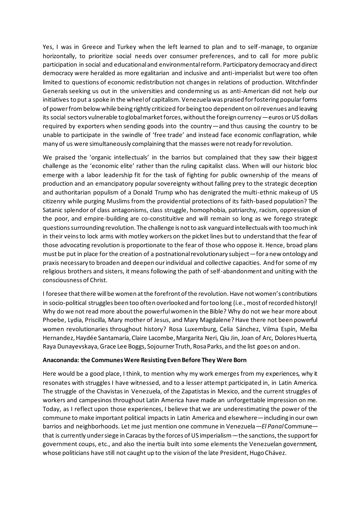Yes, I was in Greece and Turkey when the left learned to plan and to self-manage, to organize horizontally, to prioritize social needs over consumer preferences, and to call for more public participation in social and educational and environmental reform. Participatory democracy and direct democracy were heralded as more egalitarian and inclusive and anti-imperialist but were too often limited to questions of economic redistribution not changes in relations of production. Witchfinder Generals seeking us out in the universities and condemning us as anti-American did not help our initiatives to put a spoke in the wheel of capitalism. Venezuela was praised for fostering popular forms of power from below while being rightly criticized for being too dependent on oil revenues and leaving its social sectors vulnerable to global market forces, without the foreign currency—euros or US dollars required by exporters when sending goods into the country—and thus causing the country to be unable to participate in the swindle of 'free trade' and instead face economic conflagration, while many of us were simultaneously complaining that the masses were not ready for revolution.

We praised the 'organic intellectuals' in the barrios but complained that they saw their biggest challenge as the 'economic elite' rather than the ruling capitalist class. When will our historic bloc emerge with a labor leadership fit for the task of fighting for public ownership of the means of production and an emancipatory popular sovereignty without falling prey to the strategic deception and authoritarian populism of a Donald Trump who has denigrated the multi-ethnic makeup of US citizenry while purging Muslims from the providential protections of its faith-based population? The Satanic splendor of class antagonisms, class struggle, homophobia, patriarchy, racism, oppression of the poor, and empire-building are co-constituitive and will remain so long as we forego strategic questionssurrounding revolution. The challenge is not to ask vanguard intellectuals with too much ink in their veins to lock arms with motley workers on the picket lines but to understand that the fear of those advocating revolution is proportionate to the fear of those who oppose it. Hence, broad plans must be put in place for the creation of a postnational revolutionary subject—for a new ontology and praxis necessary to broaden and deepen our individual and collective capacities. And for some of my religious brothers and sisters, it means following the path of self-abandonment and uniting with the consciousness of Christ.

I foresee that there will be women at the forefront of the revolution. Have not women's contributions in socio-political struggles been too often overlooked and for too long (i.e., most of recorded history)! Why do we not read more about the powerful women in the Bible? Why do not we hear more about Phoebe, Lydia, Priscilla, Mary mother of Jesus, and Mary Magdalene? Have there not been powerful women revolutionaries throughout history? Rosa Luxemburg, Celia Sánchez, Vilma Espín, Melba Hernandez, Haydée Santamaría, Claire Lacombe, Margarita Neri, Qiu Jin, Joan of Arc, Dolores Huerta, Raya Dunayevskaya, Grace Lee Boggs, Sojourner Truth, Rosa Parks, and the list goes on and on.

#### **Anaconanda: the Communes Were Resisting Even Before They Were Born**

Here would be a good place, I think, to mention why my work emerges from my experiences, why it resonates with struggles I have witnessed, and to a lesser attempt participated in, in Latin America. The struggle of the Chavistas in Venezuela, of the Zapatistas in Mexico, and the current struggles of workers and campesinos throughout Latin America have made an unforgettable impression on me. Today, as I reflect upon those experiences, I believe that we are underestimating the power of the commune to make important political impacts in Latin America and elsewhere—including in our own barrios and neighborhoods. Let me just mention one commune in Venezuela—*El Panal*Commune that is currently under siege in Caracas by the forces of US imperialism—the sanctions, the support for government coups, etc., and also the inertia built into some elements the Venezuelan government, whose politicians have still not caught up to the vision of the late President, Hugo Chávez.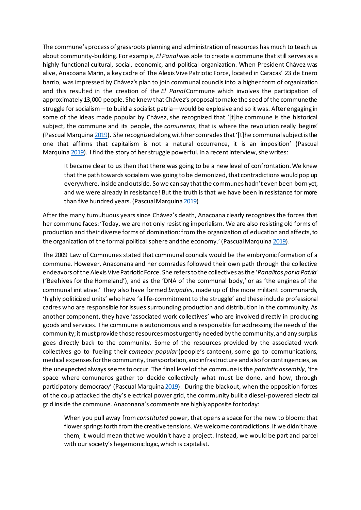The commune's process of grassroots planning and administration of resources has much to teach us about community-building. For example, *El Panal*was able to create a commune that still serves as a highly functional cultural, social, economic, and political organization. When President Chávez was alive, Anacoana Marin, a key cadre of The Alexis Vive Patriotic Force, located in Caracas' 23 de Enero barrio, was impressed by Chávez's plan to join communal councils into a higher form of organization and this resulted in the creation of the *El Panal*Commune which involves the participation of approximately 13,000 people. She knew that Chávez's proposal to make the seed of the commune the struggle for socialism—to build a socialist patria—would be explosive and so it was. After engaging in some of the ideas made popular by Chávez, she recognized that '[t]he commune is the historical subject, the commune and its people, the *comuneros*, that is where the revolution really begins' (Pascual Marquina [2019\).](https://link.springer.com/article/10.1007/s42438-019-00050-1#CR20) She recognized along with her comrades that '[t]he communal subject is the one that affirms that capitalism is not a natural occurrence, it is an imposition' (Pascual Marquina [2019\).](https://link.springer.com/article/10.1007/s42438-019-00050-1#CR20) I find the story of her struggle powerful. In a recent interview, she writes:

It became clear to us then that there was going to be a new level of confrontation. We knew that the path towards socialism was going to be demonized, that contradictions would pop up everywhere, inside and outside. So we can say that the communes hadn't even been born yet, and we were already in resistance! But the truth is that we have been in resistance for more than five hundred years. (Pascual Marquina [2019\)](https://link.springer.com/article/10.1007/s42438-019-00050-1#CR20)

After the many tumultuous years since Chávez's death, Anacoana clearly recognizes the forces that her commune faces: 'Today, we are not only resisting imperialism. We are also resisting old forms of production and their diverse forms of domination: from the organization of education and affects, to the organization of the formal political sphere and the economy.' (Pascual Marquina [2019\)](https://link.springer.com/article/10.1007/s42438-019-00050-1#CR20).

The 2009 Law of Communes stated that communal councils would be the embryonic formation of a commune. However, Anaconana and her comrades followed their own path through the collective endeavors of the Alexis Vive Patriotic Force. She refers to the collectives as the '*Panalitos por la Patria*' ('Beehives for the Homeland'), and as the 'DNA of the communal body,' or as 'the engines of the communal initiative.' They also have formed *brigades*, made up of the more militant communards, 'highly politicized units' who have 'a life-commitment to the struggle' and these include professional cadres who are responsible for issues surrounding production and distribution in the community. As another component, they have 'associated work collectives' who are involved directly in producing goods and services. The commune is autonomous and is responsible for addressing the needs of the community; it must provide those resources most urgently needed by the community, and any surplus goes directly back to the community. Some of the resources provided by the associated work collectives go to fueling their *comedor popular*(people's canteen), some go to communications, medical expenses for the community, transportation, and infrastructure and also for contingencies, as the unexpected always seems to occur. The final level of the commune is the *patriotic assembly*, 'the space where comuneros gather to decide collectively what must be done, and how, through participatory democracy' (Pascual Marquina [2019\)](https://link.springer.com/article/10.1007/s42438-019-00050-1#CR20). During the blackout, when the opposition forces of the coup attacked the city's electrical power grid, the community built a diesel-powered electrical grid inside the commune. Anaconana's comments are highly apposite for today:

When you pull away from *constituted* power, that opens a space for the new to bloom: that flower springs forth from the creative tensions. We welcome contradictions. If we didn't have them, it would mean that we wouldn't have a project. Instead, we would be part and parcel with our society's hegemonic logic, which is capitalist.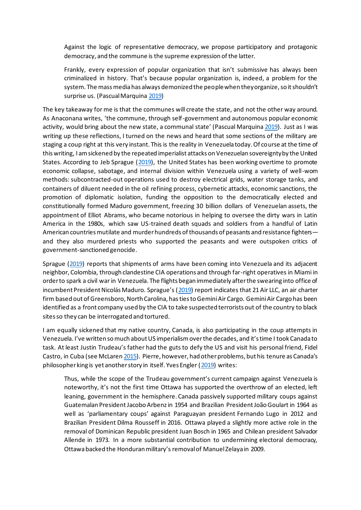Against the logic of representative democracy, we propose participatory and protagonic democracy, and the commune is the supreme expression of the latter.

Frankly, every expression of popular organization that isn't submissive has always been criminalized in history. That's because popular organization is, indeed, a problem for the system. The mass media has always demonized the people when they organize, so it shouldn't surprise us. (Pascual Marquina [2019\)](https://link.springer.com/article/10.1007/s42438-019-00050-1#CR20)

The key takeaway for me is that the communes will create the state, and not the other way around. As Anaconana writes, 'the commune, through self-government and autonomous popular economic activity, would bring about the new state, a communal state' (Pascual Marquina [2019\)](https://link.springer.com/article/10.1007/s42438-019-00050-1#CR20). Just as I was writing up these reflections, I turned on the news and heard that some sections of the military are staging a coup right at this very instant. This is the reality in Venezuela today. Of course at the time of this writing, I am sickened by the repeated imperialist attacks on Venezuelan sovereignty by the United States. According to Jeb Sprague [\(2019\)](https://link.springer.com/article/10.1007/s42438-019-00050-1#CR28), the United States has been working overtime to promote economic collapse, sabotage, and internal division within Venezuela using a variety of well-worn methods: subcontracted-out operations used to destroy electrical grids, water storage tanks, and containers of diluent needed in the oil refining process, cybernetic attacks, economic sanctions, the promotion of diplomatic isolation, funding the opposition to the democratically elected and constitutionally formed Maduro government, freezing 30 billion dollars of Venezuelan assets, the appointment of Elliot Abrams, who became notorious in helping to oversee the dirty wars in Latin America in the 1980s, which saw US-trained death squads and soldiers from a handful of Latin American countries mutilate and murder hundreds of thousands of peasants and resistance fighters and they also murdered priests who supported the peasants and were outspoken critics of government-sanctioned genocide.

Sprague [\(2019\)](https://link.springer.com/article/10.1007/s42438-019-00050-1#CR28) reports that shipments of arms have been coming into Venezuela and its adjacent neighbor, Colombia, through clandestine CIA operations and through far-right operatives in Miami in order to spark a civil war in Venezuela. The flights began immediately after the swearing into office of incumbent President Nicolás Maduro. Sprague's ([2019\)](https://link.springer.com/article/10.1007/s42438-019-00050-1#CR28) report indicates that 21 Air LLC, an air charter firm based out of Greensboro, North Carolina, has ties to Gemini Air Cargo. Gemini Air Cargo has been identified as a front company used by the CIA to take suspected terrorists out of the country to black sites so they can be interrogated and tortured.

I am equally sickened that my native country, Canada, is also participating in the coup attempts in Venezuela. I've written so much about US imperialism over the decades, and it's time I took Canada to task. At least Justin Trudeau's father had the guts to defy the US and visit his personal friend, Fidel Castro, in Cuba (see McLaren [2015\)](https://link.springer.com/article/10.1007/s42438-019-00050-1#CR17). Pierre, however, had other problems, but his tenure as Canada's philosopher king is yet another story in itself. Yves Engler [\(2019\)](https://link.springer.com/article/10.1007/s42438-019-00050-1#CR6) writes:

Thus, while the scope of the Trudeau government's current campaign against Venezuela is noteworthy, it's not the first time Ottawa has supported the overthrow of an elected, left leaning, government in the hemisphere. Canada passively supported military coups against Guatemalan President Jacobo Arbenz in 1954 and Brazilian President João Goulart in 1964 as well as 'parliamentary coups' against Paraguayan president Fernando Lugo in 2012 and Brazilian President Dilma Rousseff in 2016. Ottawa played a slightly more active role in the removal of Dominican Republic president Juan Bosch in 1965 and Chilean president Salvador Allende in 1973. In a more substantial contribution to undermining electoral democracy, Ottawa backed the Honduran military's removal of Manuel Zelaya in 2009.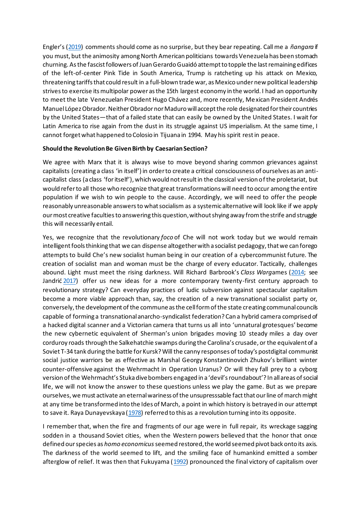Engler's ([2019\)](https://link.springer.com/article/10.1007/s42438-019-00050-1#CR6) comments should come as no surprise, but they bear repeating. Call me a *ñangara* if you must, but the animosity among North American politicians towards Venezuela has been stomach churning. As the fascist followers of Juan Gerardo Guaidó attempt to topple the last remaining edifices of the left-of-center Pink Tide in South America, Trump is ratcheting up his attack on Mexico, threatening tariffs that could result in a full-blown trade war, as Mexico under new political leadership strives to exercise its multipolar power as the 15th largest economy in the world. I had an opportunity to meet the late Venezuelan President Hugo Chávez and, more recently, Mexican President Andrés Manuel López Obrador. Neither Obrador nor Maduro will accept the role designated for their countries by the United States—that of a failed state that can easily be owned by the United States. I wait for Latin America to rise again from the dust in its struggle against US imperialism. At the same time, I cannot forget what happened to Colosio in Tijuana in 1994. May his spirit rest in peace.

#### **Should the Revolution Be Given Birth by Caesarian Section?**

We agree with Marx that it is always wise to move beyond sharing common grievances against capitalists (creating a class 'in itself') in order to create a critical consciousness of ourselves as an anticapitalist class (a class 'for itself'), which would not result in the classical version of the proletariat, but would refer to all those who recognize that great transformations will need to occur among the entire population if we wish to win people to the cause. Accordingly, we will need to offer the people reasonably unreasonable answers to what socialism as a systemic alternative will look like if we apply our most creative faculties to answering this question, without shying away from the strife and struggle this will necessarily entail.

Yes, we recognize that the revolutionary *foco* of Che will not work today but we would remain intelligent fools thinking that we can dispense altogether with a socialist pedagogy, that we can forego attempts to build Che's new socialist human being in our creation of a cybercommunist future. The creation of socialist man and woman must be the charge of every educator. Tactically, challenges abound. Light must meet the rising darkness. Will Richard Barbrook's *Class Warg*ames [\(2014;](https://link.springer.com/article/10.1007/s42438-019-00050-1#CR1) see Jandrić [2017\)](https://link.springer.com/article/10.1007/s42438-019-00050-1#CR11) offer us new ideas for a more contemporary twenty-first century approach to revolutionary strategy? Can everyday practices of ludic subversion against spectacular capitalism become a more viable approach than, say, the creation of a new transnational socialist party or, conversely, the development of the commune as the cell form of the state creating communal councils capable of forming a transnational anarcho-syndicalist federation? Can a hybrid camera comprised of a hacked digital scanner and a Victorian camera that turns us all into 'unnatural grotesques' become the new cybernetic equivalent of Sherman's union brigades moving 10 steady miles a day over corduroy roads through the Salkehatchie swamps during the Carolina's crusade, or the equivalent of a Soviet T-34 tank during the battle for Kursk? Will the canny responses of today's postdigital communist social justice warriors be as effective as Marshal Georgy Konstantinovich Zhukov's brilliant winter counter-offensive against the Wehrmacht in Operation Uranus? Or will they fall prey to a cyborg version of the Wehrmacht's Stuka dive bombers engaged in a 'devil's roundabout'? In all areas of social life, we will not know the answer to these questions unless we play the game. But as we prepare ourselves, we must activate an eternal wariness of the unsupresssable fact that our line of march might at any time be transformed into the Ides of March, a point in which history is betrayed in our attempt to save it. Raya Dunayevskaya [\(1978\)](https://link.springer.com/article/10.1007/s42438-019-00050-1#CR5) referred to this as a revolution turning into its opposite.

I remember that, when the fire and fragments of our age were in full repair, its wreckage sagging sodden in a thousand Soviet cities, when the Western powers believed that the honor that once defined our species as *homo economicus*seemed restored, the world seemed pivot back onto its axis. The darkness of the world seemed to lift, and the smiling face of humankind emitted a somber afterglow of relief. It was then that Fukuyama [\(1992\)](https://link.springer.com/article/10.1007/s42438-019-00050-1#CR7) pronounced the final victory of capitalism over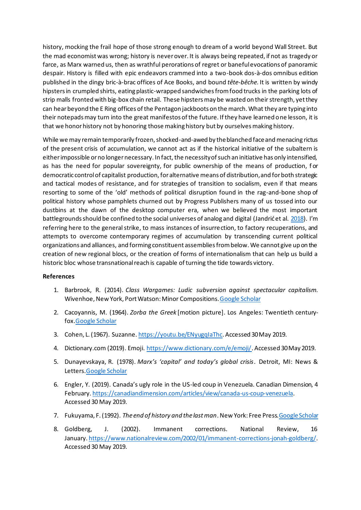history, mocking the frail hope of those strong enough to dream of a world beyond Wall Street. But the mad economist was wrong; history is never over. It is always being repeated, if not as tragedy or farce, as Marx warned us, then as wrathful perorations of regret or baneful evocations of panoramic despair. History is filled with epic endeavors crammed into a two-book dos-à-dos omnibus edition published in the dingy bric-à-brac offices of Ace Books, and bound *tête-bêche.* It is written by windy hipsters in crumpled shirts, eating plastic-wrapped sandwiches from food trucks in the parking lots of strip malls fronted with big-box chain retail. These hipsters may be wasted on their strength, yet they can hear beyond the E Ring offices of the Pentagon jackboots on the march. What they are typing into their notepads may turn into the great manifestos of the future. If they have learned one lesson, it is that we honor history not by honoring those making history but by ourselves making history.

While we may remain temporarily frozen, shocked-and-awed by the blanched face and menacing rictus of the present crisis of accumulation, we cannot act as if the historical initiative of the subaltern is either impossible or no longer necessary. In fact, the necessity of such an initiative has only intensified, as has the need for popular sovereignty, for public ownership of the means of production, f or democratic control of capitalist production, for alternative means of distribution, and for both strategic and tactical modes of resistance, and for strategies of transition to socialism, even if that means resorting to some of the 'old' methods of political disruption found in the rag-and-bone shop of political history whose pamphlets churned out by Progress Publishers many of us tossed into our dustbins at the dawn of the desktop computer era, when we believed the most important battlegrounds should be confined to the social universes of analog and digital (Jandrić et al. [2018](https://link.springer.com/article/10.1007/s42438-019-00050-1#CR12)). I'm referring here to the general strike, to mass instances of insurrection, to factory recuperations, and attempts to overcome contemporary regimes of accumulation by transcending current political organizations and alliances, and forming constituent assemblies from below. We cannot give up on the creation of new regional blocs, or the creation of forms of internationalism that can help us build a historic bloc whose transnational reach is capable of turning the tide towards victory.

#### **References**

- 1. Barbrook, R. (2014). *Class Wargames: Ludic subversion against spectacular capitalism*. Wivenhoe, New York, Port Watson: Minor Compositions[.Google Scholar](https://scholar.google.com/scholar?q=Barbrook%2C%20R.%20%282014%29.%20Class%20Wargames%3A%20Ludic%20subversion%20against%20spectacular%20capitalism.%20Wivenhoe%2C%20New%20York%2C%20Port%20Watson%3A%20Minor%20Compositions.)
- 2. Cacoyannis, M. (1964). *Zorba the Greek* [motion picture]. Los Angeles: Twentieth centuryfo[x.Google Scholar](https://scholar.google.com/scholar?q=Cacoyannis%2C%20M.%20%281964%29.%20Zorba%20the%20Greek%20%5Bmotion%20picture%5D.%20Los%20Angeles%3A%20Twentieth%20century-fox.)
- 3. Cohen, L. (1967). Suzanne. <https://youtu.be/ENyugqIaThc>. Accessed 30 May 2019.
- 4. Dictionary.com (2019). Emoji. <https://www.dictionary.com/e/emoji/>. Accessed 30 May 2019.
- 5. Dunayevskaya, R. (1978). *Marx's 'capital' and today's global crisis*. Detroit, MI: News & Letter[s.Google Scholar](https://scholar.google.com/scholar?q=Dunayevskaya%2C%20R.%20%281978%29.%20Marx%E2%80%99s%20%E2%80%98capital%E2%80%99%20and%20today%E2%80%99s%20global%20crisis.%20Detroit%2C%20MI%3A%20News%20%26%20Letters.)
- 6. Engler, Y. (2019). Canada's ugly role in the US-led coup in Venezuela. Canadian Dimension, 4 February. <https://canadiandimension.com/articles/view/canada-us-coup-venezuela>. Accessed 30 May 2019.
- 7. Fukuyama, F. (1992). *The end of history and the last man*. New York: Free Pres[s.Google Scholar](http://scholar.google.com/scholar_lookup?title=The%20end%20of%20history%20and%20the%20last%20man&author=F.%20Fukuyama&publication_year=1992)
- 8. Goldberg, J. (2002). Immanent corrections. National Review, 16 January. <https://www.nationalreview.com/2002/01/immanent-corrections-jonah-goldberg/>. Accessed 30 May 2019.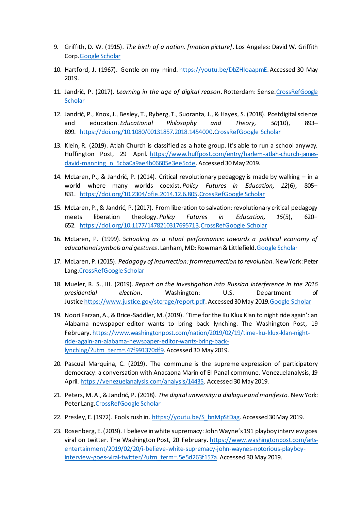- 9. Griffith, D. W. (1915). *The birth of a nation. [motion picture]*. Los Angeles: David W. Griffith Corp[.Google Scholar](http://scholar.google.com/scholar_lookup?title=%0A%20%20%20%20%20%20%20%20%20%20%20%20%20%20%20%20%20%20%20%20%20%20%20%20%20%20%20%20%20%20The%20birth%20of%20a%20nation.%20%5Bmotion%20picture%5D&author=DW.%20Griffith&publication_year=1915)
- 10. Hartford, J. (1967). Gentle on my mind. [https://youtu.be/DbZHIoaapmE.](https://youtu.be/DbZHIoaapmE) Accessed 30 May 2019.
- 11. Jandrić, P. (2017). *Learning in the age of digital reason*. Rotterdam: Sens[e.CrossRe](https://doi.org/10.1007/978-94-6351-077-6)[fGoogle](http://scholar.google.com/scholar_lookup?title=Learning%20in%20the%20age%20of%20digital%20reason&author=P.%20Jandri%C4%87&publication_year=2017)  **[Scholar](http://scholar.google.com/scholar_lookup?title=Learning%20in%20the%20age%20of%20digital%20reason&author=P.%20Jandri%C4%87&publication_year=2017)**
- 12. Jandrić, P., Knox, J., Besley, T., Ryberg, T., Suoranta, J., & Hayes, S. (2018). Postdigital science and education. *Educational Philosophy and Theory, 50*(10), 893– 899. [https://doi.org/10.1080/00131857.2018.1454000.CrossRef](https://doi.org/10.1080/00131857.2018.1454000)[Google Scholar](http://scholar.google.com/scholar_lookup?title=Postdigital%20science%20and%20education&author=P.%20Jandri%C4%87&author=J.%20Knox&author=T.%20Besley&author=T.%20Ryberg&author=J.%20Suoranta&author=S.%20Hayes&journal=Educational%20Philosophy%20and%20Theory&volume=50&issue=10&pages=893-899&publication_year=2018&doi=10.1080%2F00131857.2018.1454000)
- 13. Klein, R. (2019). Atlah Church is classified as a hate group. It's able to run a school anyway. Huffington Post, 29 April. [https://www.huffpost.com/entry/harlem-atlah-church-james](https://www.huffpost.com/entry/harlem-atlah-church-james-david-manning_n_5cba0a9ae4b06605e3ee5cde)[david-manning\\_n\\_5cba0a9ae4b06605e3ee5cde.](https://www.huffpost.com/entry/harlem-atlah-church-james-david-manning_n_5cba0a9ae4b06605e3ee5cde) Accessed 30 May 2019.
- 14. McLaren, P., & Jandrić, P. (2014). Critical revolutionary pedagogy is made by walking in a world where many worlds coexist. *Policy Futures in Education, 12*(6), 805– 831. [https://doi.org/10.2304/pfie.2014.12.6.805.CrossRef](https://doi.org/10.2304/pfie.2014.12.6.805)[Google Scholar](http://scholar.google.com/scholar_lookup?title=Critical%20revolutionary%20pedagogy%20is%20made%20by%20walking%20%E2%80%93%20in%20a%20world%20where%20many%20worlds%20coexist&author=P.%20McLaren&author=P.%20Jandri%C4%87&journal=Policy%20Futures%20in%20Education&volume=12&issue=6&pages=805-831&publication_year=2014&doi=10.2304%2Fpfie.2014.12.6.805)
- 15. McLaren, P., & Jandrić, P. (2017). From liberation to salvation: revolutionary critical pedagogy meets liberation theology. *Policy Futures in Education, 15*(5), 620– 652. [https://doi.org/10.1177/1478210317695713.CrossRef](https://doi.org/10.1177/1478210317695713)[Google Scholar](http://scholar.google.com/scholar_lookup?title=From%20liberation%20to%20salvation%3A%20revolutionary%20critical%20pedagogy%20meets%20liberation%20theology&author=P.%20McLaren&author=P.%20Jandri%C4%87&journal=Policy%20Futures%20in%20Education&volume=15&issue=5&pages=620-652&publication_year=2017&doi=10.1177%2F1478210317695713)
- 16. McLaren, P. (1999). *Schooling as a ritual performance: towards a political economy of educational symbols and gestures*. Lanham, MD: Rowman & Littlefiel[d.Google Scholar](http://scholar.google.com/scholar_lookup?title=Schooling%20as%20a%20ritual%20performance%3A%20towards%20a%20political%20economy%20of%20educational%20symbols%20and%20gestures&author=P.%20McLaren&publication_year=1999)
- 17. McLaren, P. (2015). *Pedagogy of insurrection: from resurrection to revolution*. New York: Peter Lang[.CrossRef](https://doi.org/10.3726/978-1-4539-1567-7)[Google Scholar](http://scholar.google.com/scholar_lookup?title=Pedagogy%20of%20insurrection%3A%20from%20resurrection%20to%20revolution&author=P.%20McLaren&publication_year=2015)
- 18. Mueler, R. S., III. (2019). *Report on the investigation into Russian interference in the 2016 presidential election*. Washington: U.S. Department of Justice <https://www.justice.gov/storage/report.pdf>. Accessed 30 May 2019[.Google Scholar](http://scholar.google.com/scholar_lookup?title=Report%20on%20the%20investigation%20into%20Russian%20interference%20in%20the%202016%20presidential%20election&author=RS.%20Mueler&publication_year=2019)
- 19. Noori Farzan, A., & Brice-Saddler, M. (2019). 'Time for the Ku Klux Klan to night ride again': an Alabama newspaper editor wants to bring back lynching. The Washington Post, 19 February. [https://www.washingtonpost.com/nation/2019/02/19/time-ku-klux-klan-night](https://www.washingtonpost.com/nation/2019/02/19/time-ku-klux-klan-night-ride-again-an-alabama-newspaper-editor-wants-bring-back-lynching/?utm_term=.47f991370df9)[ride-again-an-alabama-newspaper-editor-wants-bring-back](https://www.washingtonpost.com/nation/2019/02/19/time-ku-klux-klan-night-ride-again-an-alabama-newspaper-editor-wants-bring-back-lynching/?utm_term=.47f991370df9)[lynching/?utm\\_term=.47f991370df9.](https://www.washingtonpost.com/nation/2019/02/19/time-ku-klux-klan-night-ride-again-an-alabama-newspaper-editor-wants-bring-back-lynching/?utm_term=.47f991370df9) Accessed 30 May 2019.
- 20. Pascual Marquina, C. (2019). The commune is the supreme expression of participatory democracy: a conversation with Anacaona Marin of El Panal commune. Venezuelanalysis, 19 April. [https://venezuelanalysis.com/analysis/14435.](https://venezuelanalysis.com/analysis/14435) Accessed 30 May 2019.
- 21. Peters, M. A., & Jandrić, P. (2018). *The digital university: a dialogue and manifesto*. New York: Peter Lang[.CrossRef](https://doi.org/10.3726/b11314)[Google Scholar](http://scholar.google.com/scholar_lookup?title=The%20digital%20university%3A%20a%20dialogue%20and%20manifesto&author=MA.%20Peters&author=P.%20Jandri%C4%87&publication_year=2018)
- 22. Presley, E. (1972). Fools rush in. [https://youtu.be/S\\_bnMpStDag](https://youtu.be/S_bnMpStDag). Accessed 30 May 2019.
- 23. Rosenberg, E. (2019). I believe in white supremacy: John Wayne's 191 playboy interview goes viral on twitter. The Washington Post, 20 February. [https://www.washingtonpost.com/arts](https://www.washingtonpost.com/arts-entertainment/2019/02/20/i-believe-white-supremacy-john-waynes-notorious-playboy-interview-goes-viral-twitter/?utm_term=.5e5d263f157a)[entertainment/2019/02/20/i-believe-white-supremacy-john-waynes-notorious-playboy](https://www.washingtonpost.com/arts-entertainment/2019/02/20/i-believe-white-supremacy-john-waynes-notorious-playboy-interview-goes-viral-twitter/?utm_term=.5e5d263f157a)[interview-goes-viral-twitter/?utm\\_term=.5e5d263f157a.](https://www.washingtonpost.com/arts-entertainment/2019/02/20/i-believe-white-supremacy-john-waynes-notorious-playboy-interview-goes-viral-twitter/?utm_term=.5e5d263f157a) Accessed 30 May 2019.